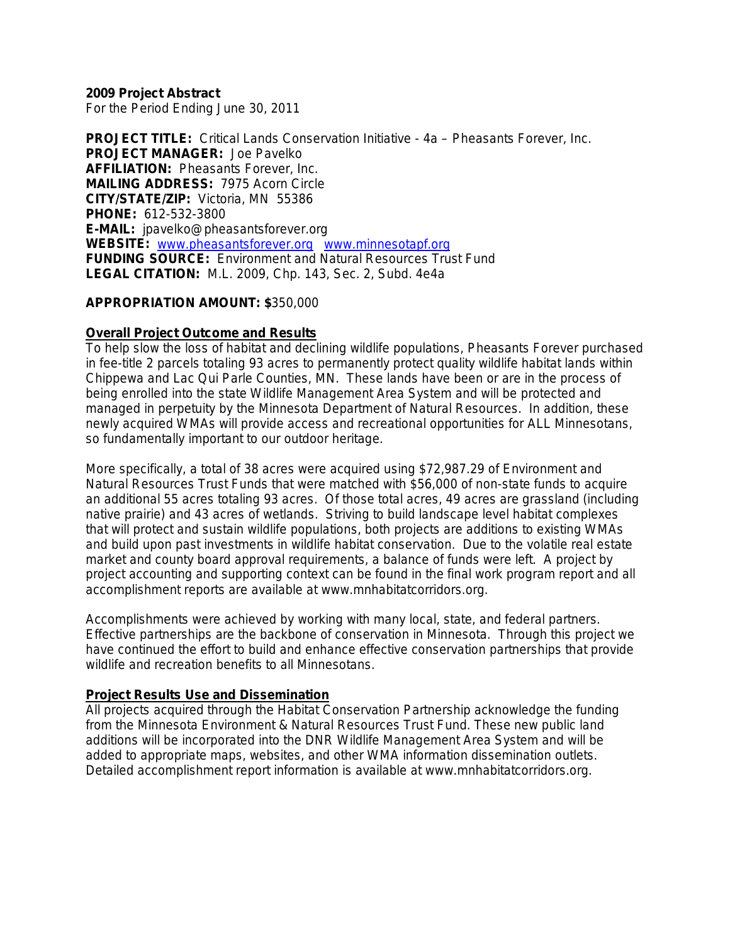**2009 Project Abstract**

For the Period Ending June 30, 2011

**PROJECT TITLE:** Critical Lands Conservation Initiative - 4a – Pheasants Forever, Inc. **PROJECT MANAGER:** Joe Pavelko **AFFILIATION:** Pheasants Forever, Inc. **MAILING ADDRESS:** 7975 Acorn Circle **CITY/STATE/ZIP:** Victoria, MN 55386 **PHONE:** 612-532-3800 **E-MAIL:** jpavelko@pheasantsforever.org **WEBSITE:** [www.pheasantsforever.org](http://www.pheasantsforever.org/) [www.minnesotapf.org](http://www.minnesotapf.org/)  **FUNDING SOURCE:** Environment and Natural Resources Trust Fund **LEGAL CITATION:** M.L. 2009, Chp. 143, Sec. 2, Subd. 4e4a

### **APPROPRIATION AMOUNT: \$**350,000

## **Overall Project Outcome and Results**

To help slow the loss of habitat and declining wildlife populations, Pheasants Forever purchased in fee-title 2 parcels totaling 93 acres to permanently protect quality wildlife habitat lands within Chippewa and Lac Qui Parle Counties, MN. These lands have been or are in the process of being enrolled into the state Wildlife Management Area System and will be protected and managed in perpetuity by the Minnesota Department of Natural Resources. In addition, these newly acquired WMAs will provide access and recreational opportunities for ALL Minnesotans, so fundamentally important to our outdoor heritage.

More specifically, a total of 38 acres were acquired using \$72,987.29 of Environment and Natural Resources Trust Funds that were matched with \$56,000 of non-state funds to acquire an additional 55 acres totaling 93 acres. Of those total acres, 49 acres are grassland (including native prairie) and 43 acres of wetlands. Striving to build landscape level habitat complexes that will protect and sustain wildlife populations, both projects are additions to existing WMAs and build upon past investments in wildlife habitat conservation. Due to the volatile real estate market and county board approval requirements, a balance of funds were left. A project by project accounting and supporting context can be found in the final work program report and all accomplishment reports are available at www.mnhabitatcorridors.org.

Accomplishments were achieved by working with many local, state, and federal partners. Effective partnerships are the backbone of conservation in Minnesota. Through this project we have continued the effort to build and enhance effective conservation partnerships that provide wildlife and recreation benefits to all Minnesotans.

### **Project Results Use and Dissemination**

All projects acquired through the Habitat Conservation Partnership acknowledge the funding from the Minnesota Environment & Natural Resources Trust Fund. These new public land additions will be incorporated into the DNR Wildlife Management Area System and will be added to appropriate maps, websites, and other WMA information dissemination outlets. Detailed accomplishment report information is available at www.mnhabitatcorridors.org.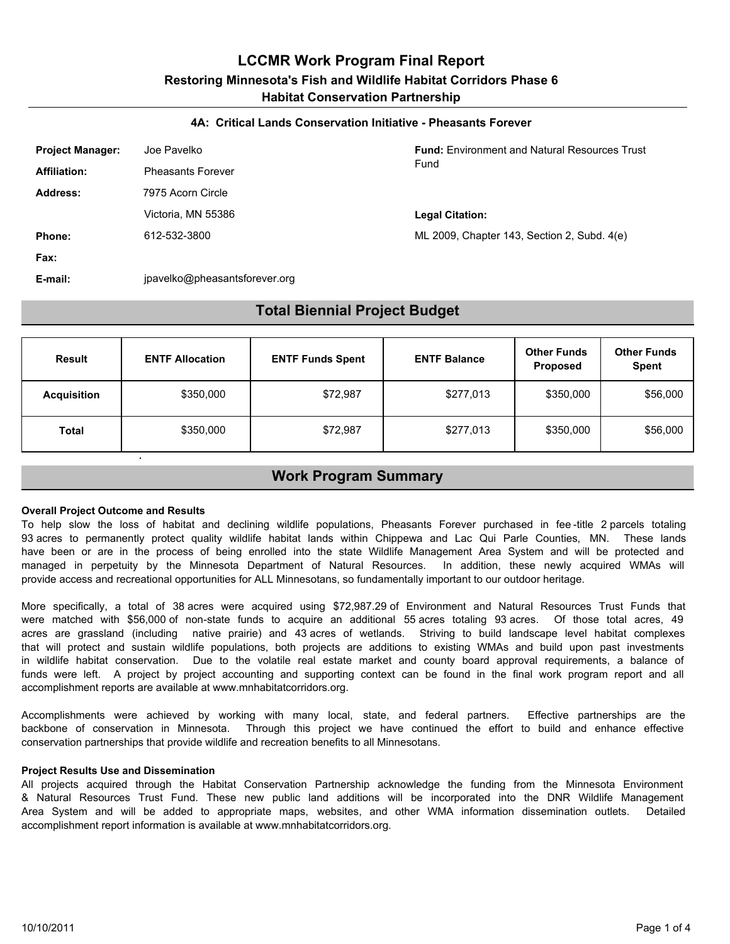# **LCCMR Work Program Final Report Restoring Minnesota's Fish and Wildlife Habitat Corridors Phase 6 Habitat Conservation Partnership**

#### **4A: Critical Lands Conservation Initiative - Pheasants Forever**

| <b>Project Manager:</b> | Joe Pavelko                   | <b>Fund:</b> Environment and Natural Resources Trust |
|-------------------------|-------------------------------|------------------------------------------------------|
| <b>Affiliation:</b>     | <b>Pheasants Forever</b>      | Fund                                                 |
| Address:                | 7975 Acorn Circle             |                                                      |
|                         | Victoria, MN 55386            | <b>Legal Citation:</b>                               |
| Phone:                  | 612-532-3800                  | ML 2009, Chapter 143, Section 2, Subd. 4(e)          |
| Fax:                    |                               |                                                      |
| E-mail:                 | jpavelko@pheasantsforever.org |                                                      |

## **Total Biennial Project Budget**

| Result             | <b>ENTF Allocation</b> | <b>ENTF Funds Spent</b> | <b>ENTF Balance</b> | <b>Other Funds</b><br><b>Proposed</b> | <b>Other Funds</b><br><b>Spent</b> |
|--------------------|------------------------|-------------------------|---------------------|---------------------------------------|------------------------------------|
| <b>Acquisition</b> | \$350,000              | \$72,987                | \$277,013           | \$350,000                             | \$56,000                           |
| Total              | \$350,000              | \$72,987                | \$277,013           | \$350,000                             | \$56,000                           |

## **Work Program Summary**

#### **Overall Project Outcome and Results**

To help slow the loss of habitat and declining wildlife populations, Pheasants Forever purchased in fee -title 2 parcels totaling 93 acres to permanently protect quality wildlife habitat lands within Chippewa and Lac Qui Parle Counties, MN. These lands have been or are in the process of being enrolled into the state Wildlife Management Area System and will be protected and managed in perpetuity by the Minnesota Department of Natural Resources. In addition, these newly acquired WMAs will provide access and recreational opportunities for ALL Minnesotans, so fundamentally important to our outdoor heritage.

More specifically, a total of 38 acres were acquired using \$72,987.29 of Environment and Natural Resources Trust Funds that were matched with \$56,000 of non-state funds to acquire an additional 55 acres totaling 93 acres. Of those total acres, 49 acres are grassland (including native prairie) and 43 acres of wetlands. Striving to build landscape level habitat complexes that will protect and sustain wildlife populations, both projects are additions to existing WMAs and build upon past investments in wildlife habitat conservation. Due to the volatile real estate market and county board approval requirements, a balance of funds were left. A project by project accounting and supporting context can be found in the final work program report and all accomplishment reports are available at www.mnhabitatcorridors.org.

Accomplishments were achieved by working with many local, state, and federal partners. Effective partnerships are the backbone of conservation in Minnesota. Through this project we have continued the effort to build and enhance effective conservation partnerships that provide wildlife and recreation benefits to all Minnesotans.

#### **Project Results Use and Dissemination**

All projects acquired through the Habitat Conservation Partnership acknowledge the funding from the Minnesota Environment & Natural Resources Trust Fund. These new public land additions will be incorporated into the DNR Wildlife Management Area System and will be added to appropriate maps, websites, and other WMA information dissemination outlets. Detailed accomplishment report information is available at www.mnhabitatcorridors.org.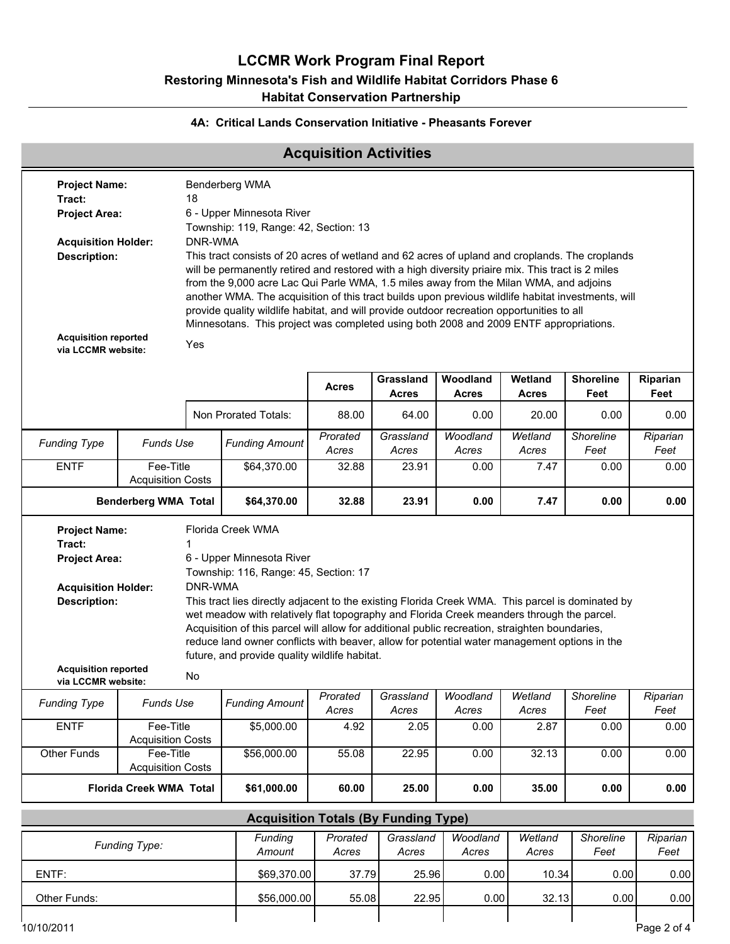# **LCCMR Work Program Final Report Restoring Minnesota's Fish and Wildlife Habitat Corridors Phase 6 Habitat Conservation Partnership**

## **4A: Critical Lands Conservation Initiative - Pheasants Forever**

# **Acquisition Activities**

| <b>Project Name:</b>                                                                                                                                                                       |                                                                                                                                                                                                                                                                                           |         | Benderberg WMA                                                                                                                                                                              |                   |                           |                                               |                         |                          |                  |  |  |
|--------------------------------------------------------------------------------------------------------------------------------------------------------------------------------------------|-------------------------------------------------------------------------------------------------------------------------------------------------------------------------------------------------------------------------------------------------------------------------------------------|---------|---------------------------------------------------------------------------------------------------------------------------------------------------------------------------------------------|-------------------|---------------------------|-----------------------------------------------|-------------------------|--------------------------|------------------|--|--|
| Tract:                                                                                                                                                                                     |                                                                                                                                                                                                                                                                                           | 18      |                                                                                                                                                                                             |                   |                           |                                               |                         |                          |                  |  |  |
| <b>Project Area:</b>                                                                                                                                                                       |                                                                                                                                                                                                                                                                                           |         | 6 - Upper Minnesota River                                                                                                                                                                   |                   |                           |                                               |                         |                          |                  |  |  |
|                                                                                                                                                                                            | Township: 119, Range: 42, Section: 13                                                                                                                                                                                                                                                     |         |                                                                                                                                                                                             |                   |                           |                                               |                         |                          |                  |  |  |
| <b>Acquisition Holder:</b>                                                                                                                                                                 |                                                                                                                                                                                                                                                                                           | DNR-WMA |                                                                                                                                                                                             |                   |                           |                                               |                         |                          |                  |  |  |
| This tract consists of 20 acres of wetland and 62 acres of upland and croplands. The croplands<br><b>Description:</b>                                                                      |                                                                                                                                                                                                                                                                                           |         |                                                                                                                                                                                             |                   |                           |                                               |                         |                          |                  |  |  |
| will be permanently retired and restored with a high diversity priaire mix. This tract is 2 miles<br>from the 9,000 acre Lac Qui Parle WMA, 1.5 miles away from the Milan WMA, and adjoins |                                                                                                                                                                                                                                                                                           |         |                                                                                                                                                                                             |                   |                           |                                               |                         |                          |                  |  |  |
|                                                                                                                                                                                            | another WMA. The acquisition of this tract builds upon previous wildlife habitat investments, will<br>provide quality wildlife habitat, and will provide outdoor recreation opportunities to all<br>Minnesotans. This project was completed using both 2008 and 2009 ENTF appropriations. |         |                                                                                                                                                                                             |                   |                           |                                               |                         |                          |                  |  |  |
| <b>Acquisition reported</b><br>via LCCMR website:                                                                                                                                          |                                                                                                                                                                                                                                                                                           | Yes     |                                                                                                                                                                                             |                   |                           |                                               |                         |                          |                  |  |  |
|                                                                                                                                                                                            |                                                                                                                                                                                                                                                                                           |         |                                                                                                                                                                                             |                   |                           |                                               |                         |                          |                  |  |  |
|                                                                                                                                                                                            |                                                                                                                                                                                                                                                                                           |         |                                                                                                                                                                                             | <b>Acres</b>      | Grassland<br><b>Acres</b> | Woodland<br><b>Acres</b>                      | Wetland<br><b>Acres</b> | <b>Shoreline</b><br>Feet | Riparian<br>Feet |  |  |
|                                                                                                                                                                                            |                                                                                                                                                                                                                                                                                           |         | Non Prorated Totals:                                                                                                                                                                        | 88.00             | 64.00                     | 0.00                                          | 20.00                   | 0.00                     | 0.00             |  |  |
| <b>Funding Type</b>                                                                                                                                                                        | <b>Funds Use</b>                                                                                                                                                                                                                                                                          |         | <b>Funding Amount</b>                                                                                                                                                                       | Prorated<br>Acres | Grassland<br>Acres        | Woodland<br>Acres                             | Wetland<br>Acres        | Shoreline<br>Feet        | Riparian<br>Feet |  |  |
| <b>ENTF</b>                                                                                                                                                                                | Fee-Title<br><b>Acquisition Costs</b>                                                                                                                                                                                                                                                     |         | \$64,370.00                                                                                                                                                                                 | 32.88             | 23.91                     | 0.00                                          | 7.47                    | 0.00                     | 0.00             |  |  |
|                                                                                                                                                                                            | <b>Benderberg WMA Total</b>                                                                                                                                                                                                                                                               |         | \$64,370.00                                                                                                                                                                                 | 32.88             | 23.91                     | 0.00                                          | 7.47                    | 0.00                     | 0.00             |  |  |
| <b>Project Name:</b>                                                                                                                                                                       |                                                                                                                                                                                                                                                                                           |         | Florida Creek WMA                                                                                                                                                                           |                   |                           |                                               |                         |                          |                  |  |  |
| Tract:                                                                                                                                                                                     |                                                                                                                                                                                                                                                                                           |         |                                                                                                                                                                                             |                   |                           |                                               |                         |                          |                  |  |  |
| <b>Project Area:</b>                                                                                                                                                                       |                                                                                                                                                                                                                                                                                           |         | 6 - Upper Minnesota River                                                                                                                                                                   |                   |                           |                                               |                         |                          |                  |  |  |
|                                                                                                                                                                                            |                                                                                                                                                                                                                                                                                           | DNR-WMA | Township: 116, Range: 45, Section: 17                                                                                                                                                       |                   |                           |                                               |                         |                          |                  |  |  |
| <b>Acquisition Holder:</b><br><b>Description:</b>                                                                                                                                          |                                                                                                                                                                                                                                                                                           |         | This tract lies directly adjacent to the existing Florida Creek WMA. This parcel is dominated by                                                                                            |                   |                           |                                               |                         |                          |                  |  |  |
|                                                                                                                                                                                            |                                                                                                                                                                                                                                                                                           |         | wet meadow with relatively flat topography and Florida Creek meanders through the parcel.<br>Acquisition of this parcel will allow for additional public recreation, straighten boundaries, |                   |                           |                                               |                         |                          |                  |  |  |
|                                                                                                                                                                                            |                                                                                                                                                                                                                                                                                           |         | reduce land owner conflicts with beaver, allow for potential water management options in the<br>future, and provide quality wildlife habitat.                                               |                   |                           |                                               |                         |                          |                  |  |  |
| <b>Acquisition reported</b><br>via LCCMR website:                                                                                                                                          |                                                                                                                                                                                                                                                                                           | No      |                                                                                                                                                                                             |                   |                           |                                               |                         |                          |                  |  |  |
| <b>Funding Type</b>                                                                                                                                                                        | Funds Use                                                                                                                                                                                                                                                                                 |         | <b>Funding Amount</b>                                                                                                                                                                       | Prorated<br>Acres | Grassland<br>Acres        | Woodland<br>Acres                             | Wetland<br>Acres        | Shoreline<br>Feet        | Riparian<br>Feet |  |  |
| <b>ENTF</b>                                                                                                                                                                                | Fee-Title<br><b>Acquisition Costs</b>                                                                                                                                                                                                                                                     |         | \$5,000.00                                                                                                                                                                                  | 4.92              | 2.05                      | 0.00                                          | 2.87                    | 0.00                     | 0.00             |  |  |
| Other Funds                                                                                                                                                                                | Fee-Title<br><b>Acquisition Costs</b>                                                                                                                                                                                                                                                     |         | \$56,000.00                                                                                                                                                                                 | 55.08             | 22.95                     | 0.00                                          | 32.13                   | 0.00                     | 0.00             |  |  |
|                                                                                                                                                                                            | <b>Florida Creek WMA Total</b>                                                                                                                                                                                                                                                            |         | \$61,000.00                                                                                                                                                                                 | 60.00             | 25.00                     | 0.00                                          | 35.00                   | 0.00                     | 0.00             |  |  |
|                                                                                                                                                                                            |                                                                                                                                                                                                                                                                                           |         | <b>Acquisition Totals (By Funding Type)</b>                                                                                                                                                 |                   |                           |                                               |                         |                          |                  |  |  |
|                                                                                                                                                                                            |                                                                                                                                                                                                                                                                                           |         | Eundina                                                                                                                                                                                     |                   |                           | Provoted Crossland Moodland Motland Sharoline |                         |                          | $\sum_{i=1}^{n}$ |  |  |

| <b>Funding Type:</b> | Funding<br>Amount | Prorated<br>Acres | Grassland<br>Acres | Woodland<br>Acres | Wetland<br>Acres | Shoreline<br>Feet | Riparian<br>Feet |
|----------------------|-------------------|-------------------|--------------------|-------------------|------------------|-------------------|------------------|
| ENTF:                | \$69,370.00       | 37.79             | 25.96              | 0.00 l            | 10.34            | 0.00              | 0.00             |
| Other Funds:         | \$56,000.00       | 55.08             | 22.95              | 0.00 l            | 32.13            | 0.00              | 0.00             |
|                      |                   |                   |                    |                   |                  |                   |                  |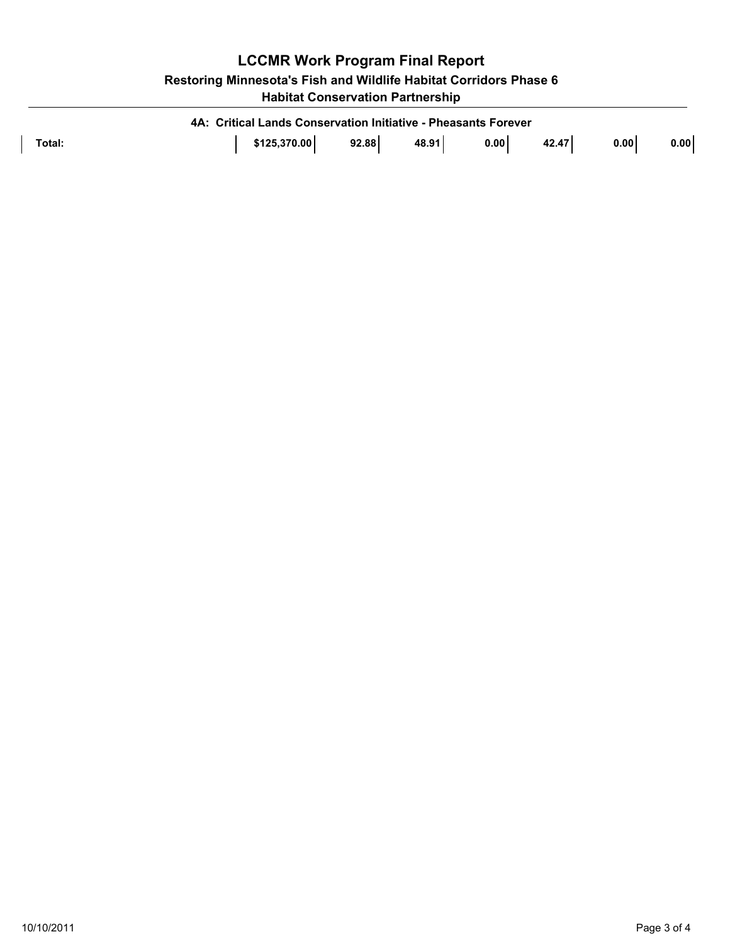| <b>LCCMR Work Program Final Report</b>                            |  |
|-------------------------------------------------------------------|--|
| Restoring Minnesota's Fish and Wildlife Habitat Corridors Phase 6 |  |
| <b>Habitat Conservation Partnership</b>                           |  |

| 4A: Critical Lands Conservation Initiative - Pheasants Forever |              |       |       |      |       |      |      |  |  |
|----------------------------------------------------------------|--------------|-------|-------|------|-------|------|------|--|--|
| Total:                                                         | \$125,370.00 | 92.88 | 48.91 | 0.00 | 42.47 | 0.00 | 0.00 |  |  |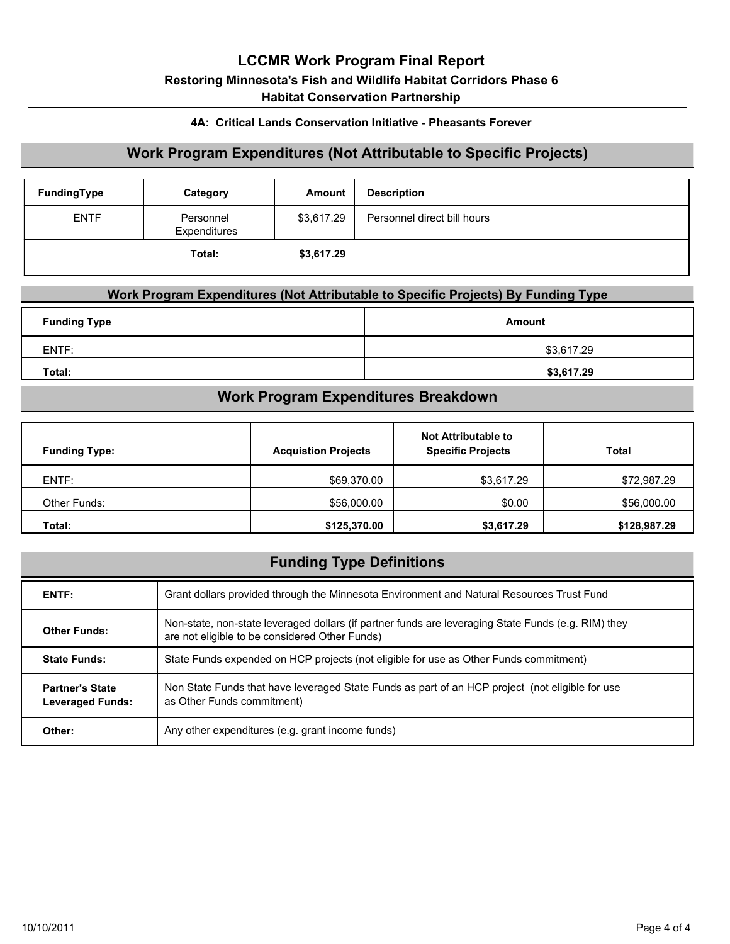# **LCCMR Work Program Final Report Restoring Minnesota's Fish and Wildlife Habitat Corridors Phase 6 Habitat Conservation Partnership**

### **4A: Critical Lands Conservation Initiative - Pheasants Forever**

## **Work Program Expenditures (Not Attributable to Specific Projects)**

| FundingType | Category                  | Amount     | <b>Description</b>          |
|-------------|---------------------------|------------|-----------------------------|
| <b>ENTF</b> | Personnel<br>Expenditures | \$3,617.29 | Personnel direct bill hours |
|             | Total:                    | \$3,617.29 |                             |

## **Work Program Expenditures (Not Attributable to Specific Projects) By Funding Type**

| <b>Funding Type</b> | Amount     |
|---------------------|------------|
| ENTF:               | \$3,617.29 |
| Total:              | \$3,617.29 |

# **Work Program Expenditures Breakdown**

| <b>Funding Type:</b> | <b>Acquistion Projects</b> | <b>Not Attributable to</b><br><b>Specific Projects</b> | <b>Total</b> |
|----------------------|----------------------------|--------------------------------------------------------|--------------|
| ENTF:                | \$69,370.00                | \$3,617.29                                             | \$72,987.29  |
| Other Funds:         | \$56,000.00                | \$0.00                                                 | \$56,000.00  |
| Total:               | \$125,370.00               | \$3,617.29                                             | \$128,987.29 |

## **Funding Type Definitions**

| ENTF:                                             | Grant dollars provided through the Minnesota Environment and Natural Resources Trust Fund                                                             |
|---------------------------------------------------|-------------------------------------------------------------------------------------------------------------------------------------------------------|
| <b>Other Funds:</b>                               | Non-state, non-state leveraged dollars (if partner funds are leveraging State Funds (e.g. RIM) they<br>are not eligible to be considered Other Funds) |
| <b>State Funds:</b>                               | State Funds expended on HCP projects (not eligible for use as Other Funds commitment)                                                                 |
| <b>Partner's State</b><br><b>Leveraged Funds:</b> | Non State Funds that have leveraged State Funds as part of an HCP project (not eligible for use<br>as Other Funds commitment)                         |
| Other:                                            | Any other expenditures (e.g. grant income funds)                                                                                                      |